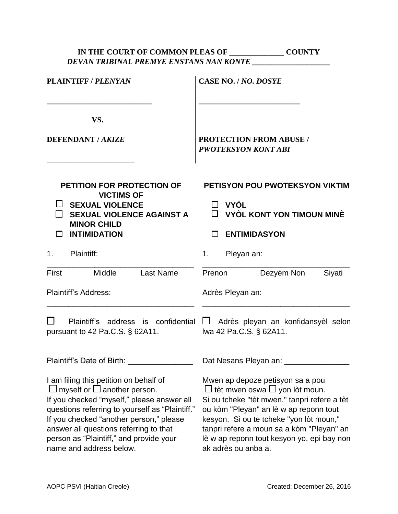## **IN THE COURT OF COMMON PLEAS OF \_\_\_\_\_\_\_\_\_\_\_\_\_\_ COUNTY** *DEVAN TRIBINAL PREMYE ENSTANS NAN KONTE \_\_\_\_\_\_\_\_\_\_\_\_\_\_\_\_\_\_\_\_*

| <b>PLAINTIFF / PLENYAN</b>                                                                                                                                                                                                                                                                                                                    | CASE NO. / NO. DOSYE<br><b>PROTECTION FROM ABUSE /</b><br><b>PWOTEKSYON KONT ABI</b>                                                                                                                                                                                                                                                 |  |  |  |  |
|-----------------------------------------------------------------------------------------------------------------------------------------------------------------------------------------------------------------------------------------------------------------------------------------------------------------------------------------------|--------------------------------------------------------------------------------------------------------------------------------------------------------------------------------------------------------------------------------------------------------------------------------------------------------------------------------------|--|--|--|--|
| VS.<br><b>DEFENDANT / AKIZE</b>                                                                                                                                                                                                                                                                                                               |                                                                                                                                                                                                                                                                                                                                      |  |  |  |  |
| <b>PETITION FOR PROTECTION OF</b><br><b>VICTIMS OF</b><br><b>SEXUAL VIOLENCE</b><br><b>SEXUAL VIOLENCE AGAINST A</b><br><b>MINOR CHILD</b><br><b>INTIMIDATION</b>                                                                                                                                                                             | PETISYON POU PWOTEKSYON VIKTIM<br><b>VYÒL</b><br>$\Box$ VYOL KONT YON TIMOUN MINE<br><b>ENTIMIDASYON</b>                                                                                                                                                                                                                             |  |  |  |  |
| Plaintiff:<br>1.                                                                                                                                                                                                                                                                                                                              | Pleyan an:<br>1.                                                                                                                                                                                                                                                                                                                     |  |  |  |  |
| <b>First</b><br>Middle<br><b>Last Name</b>                                                                                                                                                                                                                                                                                                    | Dezyèm Non<br>Prenon<br>Siyati                                                                                                                                                                                                                                                                                                       |  |  |  |  |
| <b>Plaintiff's Address:</b>                                                                                                                                                                                                                                                                                                                   | Adrès Pleyan an:                                                                                                                                                                                                                                                                                                                     |  |  |  |  |
| Plaintiff's address is confidential<br>pursuant to 42 Pa.C.S. § 62A11.                                                                                                                                                                                                                                                                        | Adrès pleyan an konfidansyèl selon<br>lwa 42 Pa.C.S. § 62A11.                                                                                                                                                                                                                                                                        |  |  |  |  |
| Plaintiff's Date of Birth:                                                                                                                                                                                                                                                                                                                    | Dat Nesans Pleyan an:                                                                                                                                                                                                                                                                                                                |  |  |  |  |
| I am filing this petition on behalf of<br>$\Box$ myself or $\Box$ another person.<br>If you checked "myself," please answer all<br>questions referring to yourself as "Plaintiff."<br>If you checked "another person," please<br>answer all questions referring to that<br>person as "Plaintiff," and provide your<br>name and address below. | Mwen ap depoze petisyon sa a pou<br>$\Box$ tèt mwen oswa $\Box$ yon lòt moun.<br>Si ou tcheke "tèt mwen," tanpri refere a tèt<br>ou kòm "Pleyan" an lè w ap reponn tout<br>kesyon. Si ou te tcheke "yon lòt moun,"<br>tanpri refere a moun sa a kòm "Pleyan" an<br>lè w ap reponn tout kesyon yo, epi bay non<br>ak adrès ou anba a. |  |  |  |  |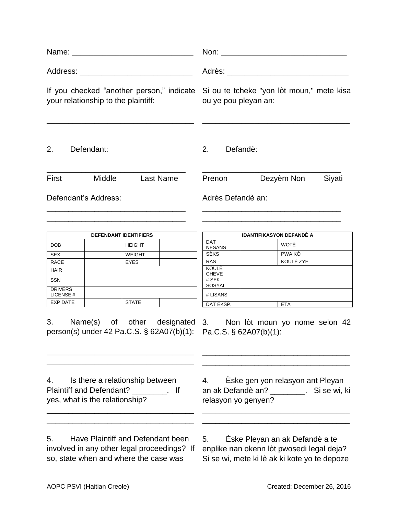| Address: _________________________________                                                                                      |            |                                                                                                 | If you checked "another person," indicate Si ou te tcheke "yon lòt moun," mete kisa<br>ou ye pou pleyan an:                         |                                                                                                                             |  |                                 |                                     |
|---------------------------------------------------------------------------------------------------------------------------------|------------|-------------------------------------------------------------------------------------------------|-------------------------------------------------------------------------------------------------------------------------------------|-----------------------------------------------------------------------------------------------------------------------------|--|---------------------------------|-------------------------------------|
|                                                                                                                                 |            |                                                                                                 |                                                                                                                                     |                                                                                                                             |  |                                 | your relationship to the plaintiff: |
| 2.                                                                                                                              | Defendant: |                                                                                                 |                                                                                                                                     |                                                                                                                             |  |                                 |                                     |
| <b>First</b>                                                                                                                    | Middle     |                                                                                                 | <b>Last Name</b>                                                                                                                    | Prenon                                                                                                                      |  | Dezyèm Non                      | Siyati                              |
| Defendant's Address:                                                                                                            |            |                                                                                                 |                                                                                                                                     | Adrès Defandè an:                                                                                                           |  |                                 |                                     |
|                                                                                                                                 |            | <b>DEFENDANT IDENTIFIERS</b>                                                                    |                                                                                                                                     |                                                                                                                             |  | <b>IDANTIFIKASYON DEFANDE A</b> |                                     |
| DOB                                                                                                                             |            | <b>HEIGHT</b>                                                                                   |                                                                                                                                     | <b>DAT</b><br><b>NESANS</b>                                                                                                 |  | <b>WOTE</b>                     |                                     |
| <b>SEX</b>                                                                                                                      |            | <b>WEIGHT</b>                                                                                   |                                                                                                                                     | <b>SÉKS</b>                                                                                                                 |  | PWA KÒ                          |                                     |
| <b>RACE</b>                                                                                                                     |            | <b>EYES</b>                                                                                     |                                                                                                                                     | <b>RAS</b>                                                                                                                  |  | KOULÈ ZYE                       |                                     |
| <b>HAIR</b>                                                                                                                     |            |                                                                                                 |                                                                                                                                     | <b>KOULÈ</b><br><b>CHEVE</b>                                                                                                |  |                                 |                                     |
| SSN                                                                                                                             |            |                                                                                                 |                                                                                                                                     | # SEK.<br>SOSYAL                                                                                                            |  |                                 |                                     |
| <b>DRIVERS</b><br>LICENSE#                                                                                                      |            |                                                                                                 |                                                                                                                                     | # LISANS                                                                                                                    |  |                                 |                                     |
| <b>EXP DATE</b>                                                                                                                 |            | <b>STATE</b>                                                                                    |                                                                                                                                     | DAT EKSP.                                                                                                                   |  | <b>ETA</b>                      |                                     |
|                                                                                                                                 |            |                                                                                                 | 3. Name(s) of other designated 3. Non lòt moun yo nome selon 42<br>person(s) under 42 Pa.C.S. § 62A07(b)(1): Pa.C.S. § 62A07(b)(1): |                                                                                                                             |  |                                 |                                     |
| Is there a relationship between<br>4.<br>Plaintiff and Defendant? _________. If<br>yes, what is the relationship?               |            | Eske gen yon relasyon ant Pleyan<br>4.<br>an ak Defandè an? Si se wi, ki<br>relasyon yo genyen? |                                                                                                                                     |                                                                                                                             |  |                                 |                                     |
| Have Plaintiff and Defendant been<br>5.<br>involved in any other legal proceedings? If<br>so, state when and where the case was |            |                                                                                                 | 5.                                                                                                                                  | Eske Pleyan an ak Defandè a te<br>enplike nan okenn lòt pwosedi legal deja?<br>Si se wi, mete ki lè ak ki kote yo te depoze |  |                                 |                                     |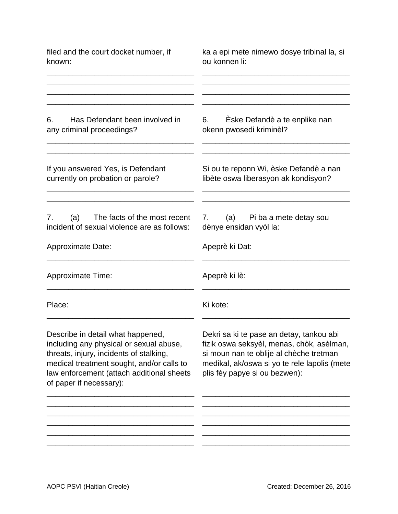| filed and the court docket number, if<br>known:                                                                                                                                                                                              | ka a epi mete nimewo dosye tribinal la, si<br>ou konnen li:                                                                                                                                                       |  |  |  |
|----------------------------------------------------------------------------------------------------------------------------------------------------------------------------------------------------------------------------------------------|-------------------------------------------------------------------------------------------------------------------------------------------------------------------------------------------------------------------|--|--|--|
| Has Defendant been involved in<br>6.<br>any criminal proceedings?                                                                                                                                                                            | Eske Defandè a te enplike nan<br>6.<br>okenn pwosedi kriminèl?                                                                                                                                                    |  |  |  |
| If you answered Yes, is Defendant<br>currently on probation or parole?                                                                                                                                                                       | Si ou te reponn Wi, èske Defandè a nan<br>libète oswa liberasyon ak kondisyon?                                                                                                                                    |  |  |  |
| The facts of the most recent<br>(a)<br>7.<br>incident of sexual violence are as follows:                                                                                                                                                     | (a) Pi ba a mete detay sou<br>7.<br>dènye ensidan vyòl la:                                                                                                                                                        |  |  |  |
| <b>Approximate Date:</b>                                                                                                                                                                                                                     | Apeprè ki Dat:                                                                                                                                                                                                    |  |  |  |
| <b>Approximate Time:</b>                                                                                                                                                                                                                     | Apeprè ki lè:                                                                                                                                                                                                     |  |  |  |
| Place:                                                                                                                                                                                                                                       | Ki kote:                                                                                                                                                                                                          |  |  |  |
| Describe in detail what happened,<br>including any physical or sexual abuse,<br>threats, injury, incidents of stalking,<br>medical treatment sought, and/or calls to<br>law enforcement (attach additional sheets<br>of paper if necessary): | Dekri sa ki te pase an detay, tankou abi<br>fizik oswa seksyèl, menas, chòk, asèlman,<br>si moun nan te oblije al chèche tretman<br>medikal, ak/oswa si yo te rele lapolis (mete<br>plis fèy papye si ou bezwen): |  |  |  |
|                                                                                                                                                                                                                                              |                                                                                                                                                                                                                   |  |  |  |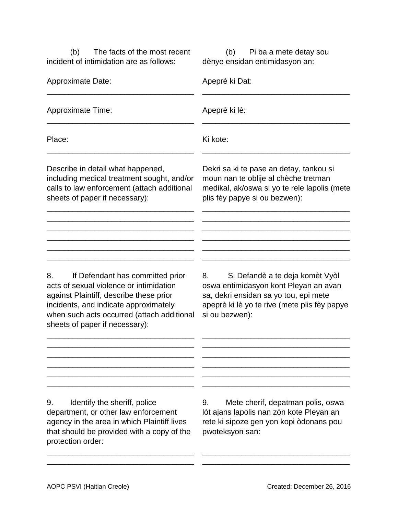(b) The facts of the most recent incident of intimidation are as follows:

(b) Pi ba a mete detay sou dènye ensidan entimidasyon an:

| <b>Approximate Date:</b>                                                                                                                                                                                                                              | Apeprè ki Dat:                                                                                                                                                                            |
|-------------------------------------------------------------------------------------------------------------------------------------------------------------------------------------------------------------------------------------------------------|-------------------------------------------------------------------------------------------------------------------------------------------------------------------------------------------|
| <b>Approximate Time:</b>                                                                                                                                                                                                                              | Apeprè ki lè:                                                                                                                                                                             |
| Place:                                                                                                                                                                                                                                                | Ki kote:                                                                                                                                                                                  |
| Describe in detail what happened,<br>including medical treatment sought, and/or<br>calls to law enforcement (attach additional<br>sheets of paper if necessary):                                                                                      | Dekri sa ki te pase an detay, tankou si<br>moun nan te oblije al chèche tretman<br>medikal, ak/oswa si yo te rele lapolis (mete<br>plis fèy papye si ou bezwen):                          |
|                                                                                                                                                                                                                                                       |                                                                                                                                                                                           |
| If Defendant has committed prior<br>8.<br>acts of sexual violence or intimidation<br>against Plaintiff, describe these prior<br>incidents, and indicate approximately<br>when such acts occurred (attach additional<br>sheets of paper if necessary): | 8.<br>Si Defandè a te deja komèt Vyòl<br>oswa entimidasyon kont Pleyan an avan<br>sa, dekri ensidan sa yo tou, epi mete<br>apeprè ki lè yo te rive (mete plis fèy papye<br>si ou bezwen): |
|                                                                                                                                                                                                                                                       |                                                                                                                                                                                           |
| 9.<br>Identify the sheriff, police<br>department, or other law enforcement                                                                                                                                                                            | Mete cherif, depatman polis, oswa<br>9.<br>lòt ajans lapolis nan zòn kote Pleyan an                                                                                                       |
| agency in the area in which Plaintiff lives<br>that should be provided with a copy of the<br>protection order:                                                                                                                                        | rete ki sipoze gen yon kopi òdonans pou<br>pwoteksyon san:                                                                                                                                |
|                                                                                                                                                                                                                                                       |                                                                                                                                                                                           |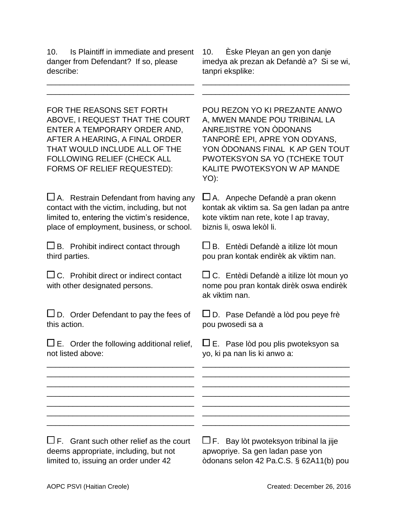10. Is Plaintiff in immediate and present danger from Defendant? If so, please describe:

\_\_\_\_\_\_\_\_\_\_\_\_\_\_\_\_\_\_\_\_\_\_\_\_\_\_\_\_\_\_\_\_\_\_ \_\_\_\_\_\_\_\_\_\_\_\_\_\_\_\_\_\_\_\_\_\_\_\_\_\_\_\_\_\_\_\_\_\_

FOR THE REASONS SET FORTH ABOVE, I REQUEST THAT THE COURT ENTER A TEMPORARY ORDER AND, AFTER A HEARING, A FINAL ORDER THAT WOULD INCLUDE ALL OF THE FOLLOWING RELIEF (CHECK ALL FORMS OF RELIEF REQUESTED):

 $\Box$  A. Restrain Defendant from having any contact with the victim, including, but not limited to, entering the victim's residence, place of employment, business, or school.

 $\square$  B. Prohibit indirect contact through third parties.

 $\Box$  C. Prohibit direct or indirect contact with other designated persons.

 $\square$  D. Order Defendant to pay the fees of this action.

 $\square$  E. Order the following additional relief, not listed above:

\_\_\_\_\_\_\_\_\_\_\_\_\_\_\_\_\_\_\_\_\_\_\_\_\_\_\_\_\_\_\_\_\_\_ \_\_\_\_\_\_\_\_\_\_\_\_\_\_\_\_\_\_\_\_\_\_\_\_\_\_\_\_\_\_\_\_\_\_ \_\_\_\_\_\_\_\_\_\_\_\_\_\_\_\_\_\_\_\_\_\_\_\_\_\_\_\_\_\_\_\_\_\_ \_\_\_\_\_\_\_\_\_\_\_\_\_\_\_\_\_\_\_\_\_\_\_\_\_\_\_\_\_\_\_\_\_\_ \_\_\_\_\_\_\_\_\_\_\_\_\_\_\_\_\_\_\_\_\_\_\_\_\_\_\_\_\_\_\_\_\_\_ \_\_\_\_\_\_\_\_\_\_\_\_\_\_\_\_\_\_\_\_\_\_\_\_\_\_\_\_\_\_\_\_\_\_ \_\_\_\_\_\_\_\_\_\_\_\_\_\_\_\_\_\_\_\_\_\_\_\_\_\_\_\_\_\_\_\_\_\_

10. Èske Pleyan an gen yon danje imedya ak prezan ak Defandè a? Si se wi, tanpri eksplike:

\_\_\_\_\_\_\_\_\_\_\_\_\_\_\_\_\_\_\_\_\_\_\_\_\_\_\_\_\_\_\_\_\_\_ \_\_\_\_\_\_\_\_\_\_\_\_\_\_\_\_\_\_\_\_\_\_\_\_\_\_\_\_\_\_\_\_\_\_

POU REZON YO KI PREZANTE ANWO A, MWEN MANDE POU TRIBINAL LA ANREJISTRE YON ÒDONANS TANPORÈ EPI, APRE YON ODYANS, YON ÒDONANS FINAL K AP GEN TOUT PWOTEKSYON SA YO (TCHEKE TOUT KALITE PWOTEKSYON W AP MANDE YO):

 $\Box$  A. Anpeche Defandè a pran okenn kontak ak viktim sa. Sa gen ladan pa antre kote viktim nan rete, kote l ap travay, biznis li, oswa lekòl li.

 $\square$  B. Entèdi Defandè a itilize lòt moun pou pran kontak endirèk ak viktim nan.

 $\Box$  C. Entèdi Defandè a itilize lòt moun yo nome pou pran kontak dirèk oswa endirèk ak viktim nan.

 $\square$  D. Pase Defandè a lòd pou peye frè pou pwosedi sa a

 $\square$  E. Pase lòd pou plis pwoteksyon sa yo, ki pa nan lis ki anwo a:

\_\_\_\_\_\_\_\_\_\_\_\_\_\_\_\_\_\_\_\_\_\_\_\_\_\_\_\_\_\_\_\_\_\_ \_\_\_\_\_\_\_\_\_\_\_\_\_\_\_\_\_\_\_\_\_\_\_\_\_\_\_\_\_\_\_\_\_\_ \_\_\_\_\_\_\_\_\_\_\_\_\_\_\_\_\_\_\_\_\_\_\_\_\_\_\_\_\_\_\_\_\_\_ \_\_\_\_\_\_\_\_\_\_\_\_\_\_\_\_\_\_\_\_\_\_\_\_\_\_\_\_\_\_\_\_\_\_ \_\_\_\_\_\_\_\_\_\_\_\_\_\_\_\_\_\_\_\_\_\_\_\_\_\_\_\_\_\_\_\_\_\_ \_\_\_\_\_\_\_\_\_\_\_\_\_\_\_\_\_\_\_\_\_\_\_\_\_\_\_\_\_\_\_\_\_\_ \_\_\_\_\_\_\_\_\_\_\_\_\_\_\_\_\_\_\_\_\_\_\_\_\_\_\_\_\_\_\_\_\_\_

 $\square$  F. Grant such other relief as the court deems appropriate, including, but not limited to, issuing an order under 42

 $\Box$  F. Bay lòt pwoteksyon tribinal la jije apwopriye. Sa gen ladan pase yon òdonans selon 42 Pa.C.S. § 62A11(b) pou